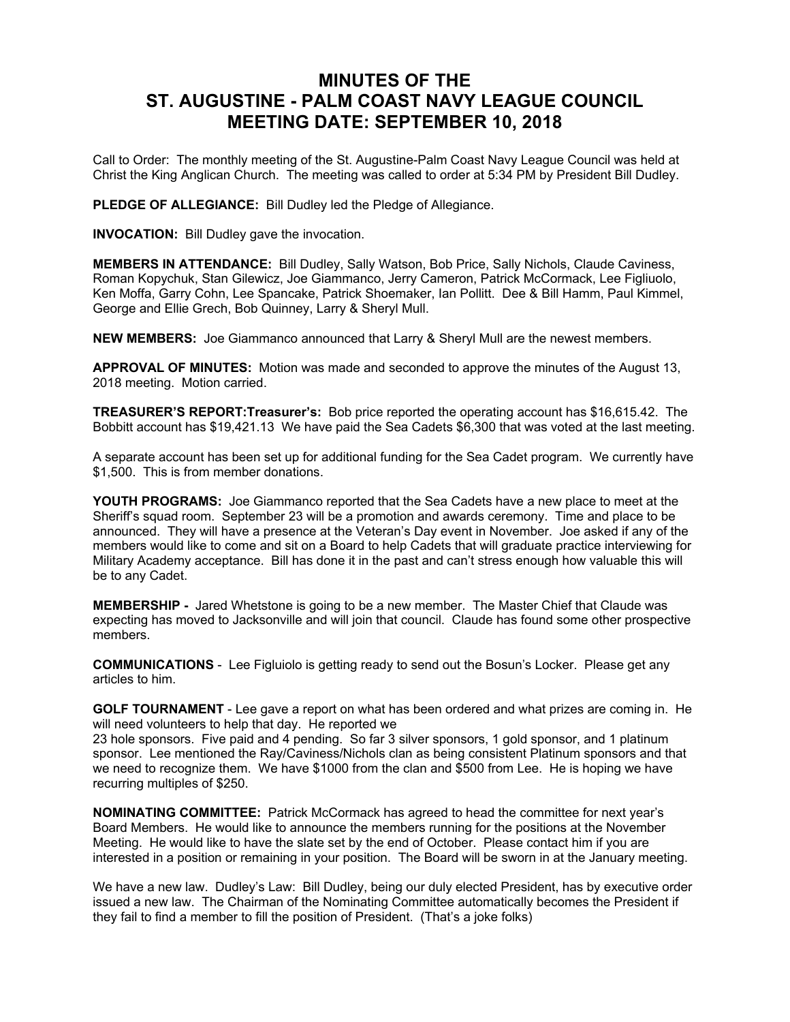## **MINUTES OF THE ST. AUGUSTINE - PALM COAST NAVY LEAGUE COUNCIL MEETING DATE: SEPTEMBER 10, 2018**

Call to Order: The monthly meeting of the St. Augustine-Palm Coast Navy League Council was held at Christ the King Anglican Church. The meeting was called to order at 5:34 PM by President Bill Dudley.

**PLEDGE OF ALLEGIANCE:** Bill Dudley led the Pledge of Allegiance.

**INVOCATION:** Bill Dudley gave the invocation.

**MEMBERS IN ATTENDANCE:** Bill Dudley, Sally Watson, Bob Price, Sally Nichols, Claude Caviness, Roman Kopychuk, Stan Gilewicz, Joe Giammanco, Jerry Cameron, Patrick McCormack, Lee Figliuolo, Ken Moffa, Garry Cohn, Lee Spancake, Patrick Shoemaker, Ian Pollitt. Dee & Bill Hamm, Paul Kimmel, George and Ellie Grech, Bob Quinney, Larry & Sheryl Mull.

**NEW MEMBERS:** Joe Giammanco announced that Larry & Sheryl Mull are the newest members.

**APPROVAL OF MINUTES:** Motion was made and seconded to approve the minutes of the August 13, 2018 meeting. Motion carried.

**TREASURER'S REPORT:Treasurer's:** Bob price reported the operating account has \$16,615.42. The Bobbitt account has \$19,421.13 We have paid the Sea Cadets \$6,300 that was voted at the last meeting.

A separate account has been set up for additional funding for the Sea Cadet program. We currently have \$1,500. This is from member donations.

**YOUTH PROGRAMS:** Joe Giammanco reported that the Sea Cadets have a new place to meet at the Sheriff's squad room. September 23 will be a promotion and awards ceremony. Time and place to be announced. They will have a presence at the Veteran's Day event in November. Joe asked if any of the members would like to come and sit on a Board to help Cadets that will graduate practice interviewing for Military Academy acceptance. Bill has done it in the past and can't stress enough how valuable this will be to any Cadet.

**MEMBERSHIP -** Jared Whetstone is going to be a new member. The Master Chief that Claude was expecting has moved to Jacksonville and will join that council. Claude has found some other prospective members.

**COMMUNICATIONS** - Lee Figluiolo is getting ready to send out the Bosun's Locker. Please get any articles to him.

**GOLF TOURNAMENT** - Lee gave a report on what has been ordered and what prizes are coming in. He will need volunteers to help that day. He reported we

23 hole sponsors. Five paid and 4 pending. So far 3 silver sponsors, 1 gold sponsor, and 1 platinum sponsor. Lee mentioned the Ray/Caviness/Nichols clan as being consistent Platinum sponsors and that we need to recognize them. We have \$1000 from the clan and \$500 from Lee. He is hoping we have recurring multiples of \$250.

**NOMINATING COMMITTEE:** Patrick McCormack has agreed to head the committee for next year's Board Members. He would like to announce the members running for the positions at the November Meeting. He would like to have the slate set by the end of October. Please contact him if you are interested in a position or remaining in your position. The Board will be sworn in at the January meeting.

We have a new law. Dudley's Law: Bill Dudley, being our duly elected President, has by executive order issued a new law. The Chairman of the Nominating Committee automatically becomes the President if they fail to find a member to fill the position of President. (That's a joke folks)